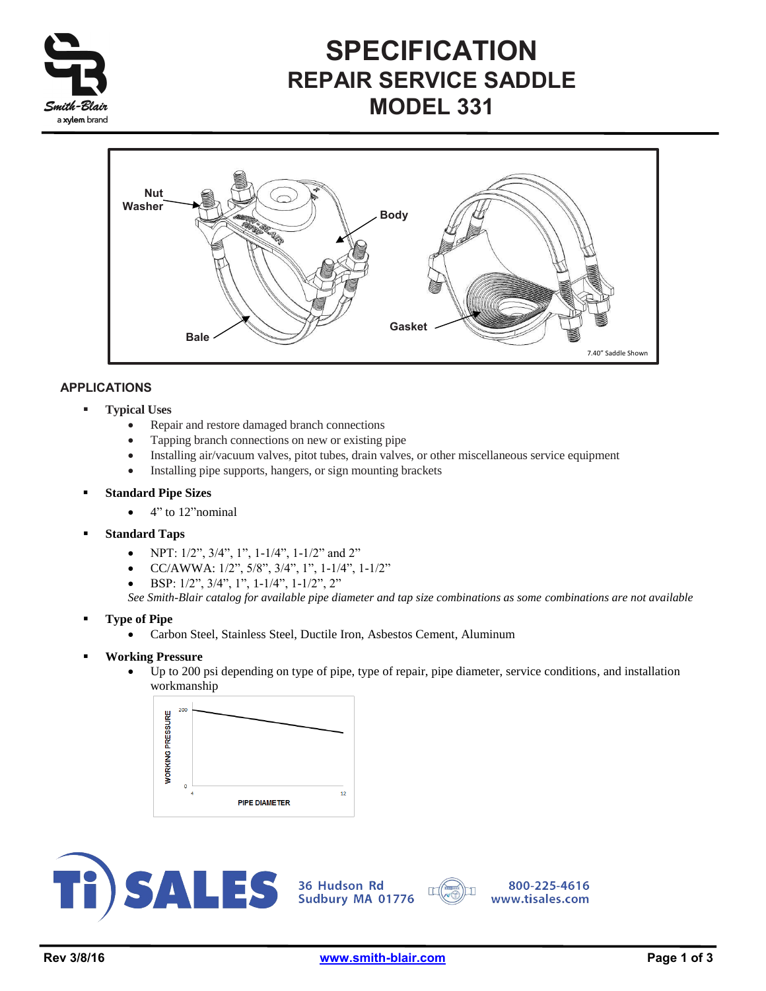

# **SPECIFICATION REPAIR SERVICE SADDLE MODEL 331**



## **APPLICATIONS**

- **Typical Uses**
	- Repair and restore damaged branch connections
	- Tapping branch connections on new or existing pipe
	- Installing air/vacuum valves, pitot tubes, drain valves, or other miscellaneous service equipment
	- Installing pipe supports, hangers, or sign mounting brackets
- **Standard Pipe Sizes**
	- $\bullet$  4" to 12" nominal
- **Standard Taps**
	- NPT:  $1/2$ ",  $3/4$ ",  $1$ ",  $1-1/4$ ",  $1-1/2$ " and  $2$ "
	- CC/AWWA: 1/2", 5/8", 3/4", 1", 1-1/4", 1-1/2"
	- $\bullet$  BSP: 1/2", 3/4", 1", 1-1/4", 1-1/2", 2"

*See Smith-Blair catalog for available pipe diameter and tap size combinations as some combinations are not available* 

- **Type of Pipe**
	- Carbon Steel, Stainless Steel, Ductile Iron, Asbestos Cement, Aluminum
- **Working Pressure**
	- Up to 200 psi depending on type of pipe, type of repair, pipe diameter, service conditions, and installation workmanship







r

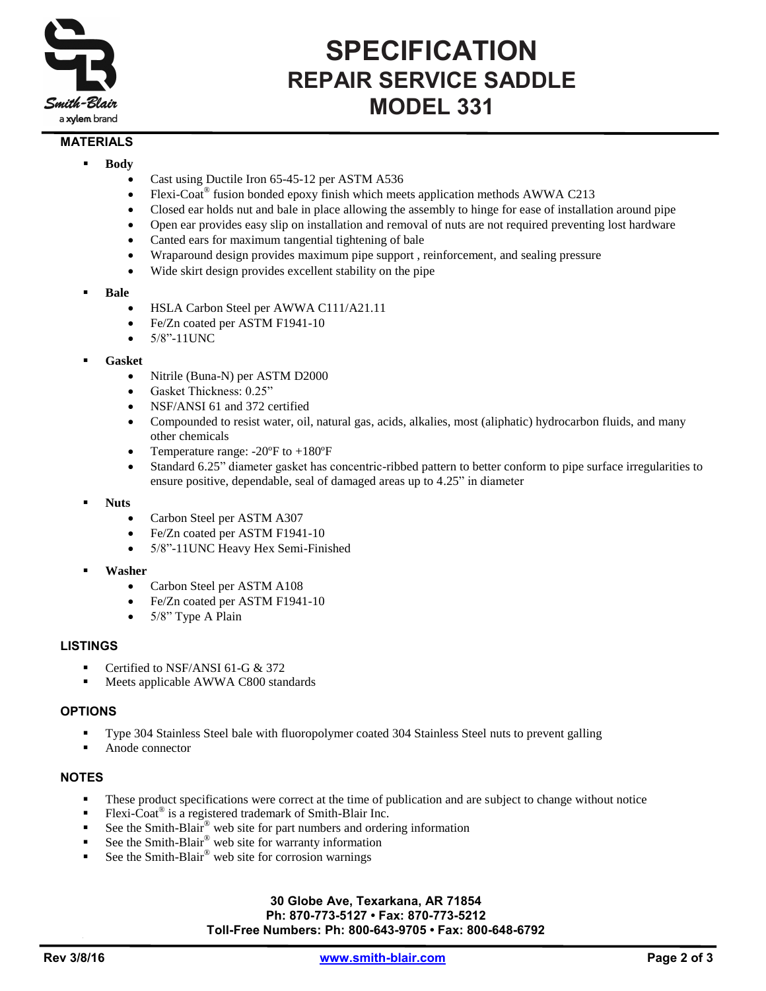

# **SPECIFICATION REPAIR SERVICE SADDLE MODEL 331**

### **MATERIALS**

- **Body**
	- Cast using Ductile Iron 65-45-12 per ASTM A536
	- Flexi-Coat<sup>®</sup> fusion bonded epoxy finish which meets application methods AWWA C213
	- Closed ear holds nut and bale in place allowing the assembly to hinge for ease of installation around pipe
	- Open ear provides easy slip on installation and removal of nuts are not required preventing lost hardware
	- Canted ears for maximum tangential tightening of bale
	- Wraparound design provides maximum pipe support , reinforcement, and sealing pressure
	- Wide skirt design provides excellent stability on the pipe
- **Bale**
	- HSLA Carbon Steel per AWWA C111/A21.11
	- Fe/Zn coated per ASTM F1941-10
	- 5/8"-11UNC
- **Gasket**
	- Nitrile (Buna-N) per ASTM D2000
	- Gasket Thickness: 0.25"
	- NSF/ANSI 61 and 372 certified
	- Compounded to resist water, oil, natural gas, acids, alkalies, most (aliphatic) hydrocarbon fluids, and many other chemicals
	- Temperature range:  $-20^{\circ}$ F to  $+180^{\circ}$ F
	- Standard 6.25" diameter gasket has concentric-ribbed pattern to better conform to pipe surface irregularities to ensure positive, dependable, seal of damaged areas up to 4.25" in diameter
- **Nuts**
	- Carbon Steel per ASTM A307
	- Fe/Zn coated per ASTM F1941-10
	- 5/8"-11UNC Heavy Hex Semi-Finished
- **Washer**
	- Carbon Steel per ASTM A108
	- Fe/Zn coated per ASTM F1941-10
	- 5/8" Type A Plain

#### **LISTINGS**

- Certified to NSF/ANSI 61-G & 372
- **Meets applicable AWWA C800 standards**

### **OPTIONS**

- Type 304 Stainless Steel bale with fluoropolymer coated 304 Stainless Steel nuts to prevent galling
- Anode connector

## **NOTES**

- These product specifications were correct at the time of publication and are subject to change without notice
- Flexi-Coat<sup>®</sup> is a registered trademark of Smith-Blair Inc.
- See the Smith-Blair® web site for part numbers and ordering information
- See the Smith-Blair® web site for warranty information
- See the Smith-Blair® web site for corrosion warnings

#### **30 Globe Ave, Texarkana, AR 71854 Ph: 870-773-5127 • Fax: 870-773-5212 Toll-Free Numbers: Ph: 800-643-9705 • Fax: 800-648-6792**